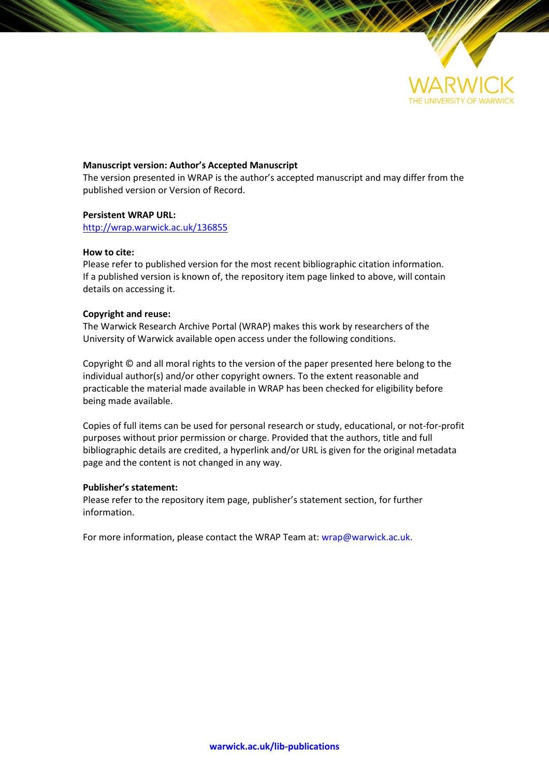

### **Manuscript version: Author's Accepted Manuscript**

The version presented in WRAP is the author's accepted manuscript and may differ from the published version or Version of Record.

### **Persistent WRAP URL:**

<http://wrap.warwick.ac.uk/136855>

### **How to cite:**

Please refer to published version for the most recent bibliographic citation information. If a published version is known of, the repository item page linked to above, will contain details on accessing it.

### **Copyright and reuse:**

The Warwick Research Archive Portal (WRAP) makes this work by researchers of the University of Warwick available open access under the following conditions.

Copyright © and all moral rights to the version of the paper presented here belong to the individual author(s) and/or other copyright owners. To the extent reasonable and practicable the material made available in WRAP has been checked for eligibility before being made available.

Copies of full items can be used for personal research or study, educational, or not-for-profit purposes without prior permission or charge. Provided that the authors, title and full bibliographic details are credited, a hyperlink and/or URL is given for the original metadata page and the content is not changed in any way.

### **Publisher's statement:**

Please refer to the repository item page, publisher's statement section, for further information.

For more information, please contact the WRAP Team at[: wrap@warwick.ac.uk.](mailto:wrap@warwick.ac.uk)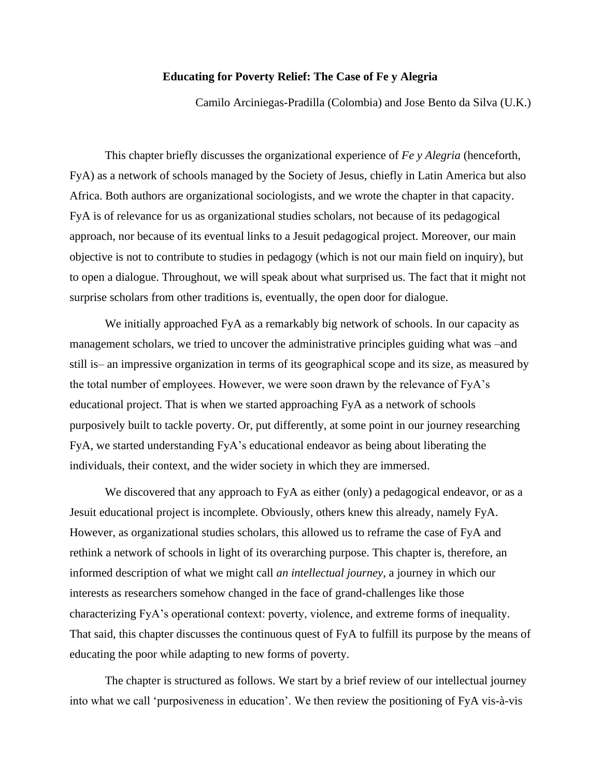## **Educating for Poverty Relief: The Case of Fe y Alegria**

Camilo Arciniegas-Pradilla (Colombia) and Jose Bento da Silva (U.K.)

This chapter briefly discusses the organizational experience of *Fe y Alegria* (henceforth, FyA) as a network of schools managed by the Society of Jesus, chiefly in Latin America but also Africa. Both authors are organizational sociologists, and we wrote the chapter in that capacity. FyA is of relevance for us as organizational studies scholars, not because of its pedagogical approach, nor because of its eventual links to a Jesuit pedagogical project. Moreover, our main objective is not to contribute to studies in pedagogy (which is not our main field on inquiry), but to open a dialogue. Throughout, we will speak about what surprised us. The fact that it might not surprise scholars from other traditions is, eventually, the open door for dialogue.

We initially approached FyA as a remarkably big network of schools. In our capacity as management scholars, we tried to uncover the administrative principles guiding what was –and still is– an impressive organization in terms of its geographical scope and its size, as measured by the total number of employees. However, we were soon drawn by the relevance of FyA's educational project. That is when we started approaching FyA as a network of schools purposively built to tackle poverty. Or, put differently, at some point in our journey researching FyA, we started understanding FyA's educational endeavor as being about liberating the individuals, their context, and the wider society in which they are immersed.

We discovered that any approach to FyA as either (only) a pedagogical endeavor, or as a Jesuit educational project is incomplete. Obviously, others knew this already, namely FyA. However, as organizational studies scholars, this allowed us to reframe the case of FyA and rethink a network of schools in light of its overarching purpose. This chapter is, therefore, an informed description of what we might call *an intellectual journey*, a journey in which our interests as researchers somehow changed in the face of grand-challenges like those characterizing FyA's operational context: poverty, violence, and extreme forms of inequality. That said, this chapter discusses the continuous quest of FyA to fulfill its purpose by the means of educating the poor while adapting to new forms of poverty.

The chapter is structured as follows. We start by a brief review of our intellectual journey into what we call 'purposiveness in education'. We then review the positioning of FyA vis-à-vis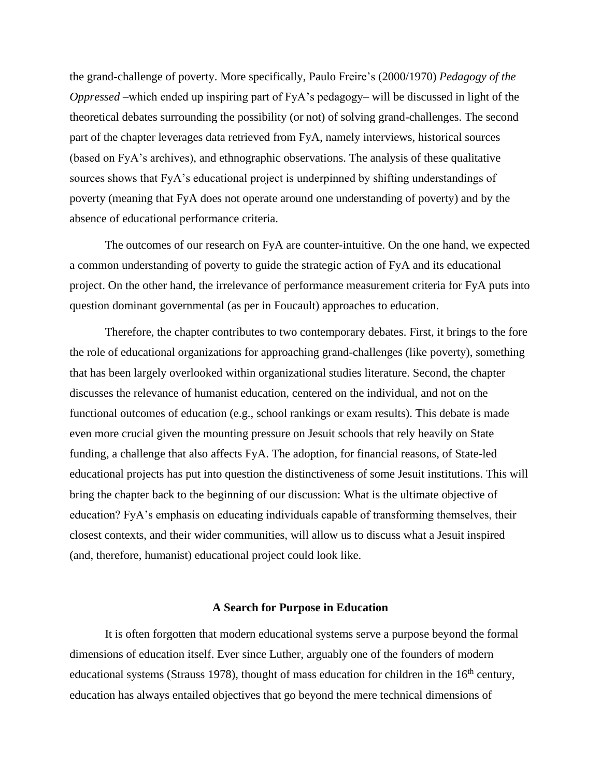the grand-challenge of poverty. More specifically, Paulo Freire's (2000/1970) *Pedagogy of the Oppressed* –which ended up inspiring part of FyA's pedagogy– will be discussed in light of the theoretical debates surrounding the possibility (or not) of solving grand-challenges. The second part of the chapter leverages data retrieved from FyA, namely interviews, historical sources (based on FyA's archives), and ethnographic observations. The analysis of these qualitative sources shows that FyA's educational project is underpinned by shifting understandings of poverty (meaning that FyA does not operate around one understanding of poverty) and by the absence of educational performance criteria.

The outcomes of our research on FyA are counter-intuitive. On the one hand, we expected a common understanding of poverty to guide the strategic action of FyA and its educational project. On the other hand, the irrelevance of performance measurement criteria for FyA puts into question dominant governmental (as per in Foucault) approaches to education.

Therefore, the chapter contributes to two contemporary debates. First, it brings to the fore the role of educational organizations for approaching grand-challenges (like poverty), something that has been largely overlooked within organizational studies literature. Second, the chapter discusses the relevance of humanist education, centered on the individual, and not on the functional outcomes of education (e.g., school rankings or exam results). This debate is made even more crucial given the mounting pressure on Jesuit schools that rely heavily on State funding, a challenge that also affects FyA. The adoption, for financial reasons, of State-led educational projects has put into question the distinctiveness of some Jesuit institutions. This will bring the chapter back to the beginning of our discussion: What is the ultimate objective of education? FyA's emphasis on educating individuals capable of transforming themselves, their closest contexts, and their wider communities, will allow us to discuss what a Jesuit inspired (and, therefore, humanist) educational project could look like.

### **A Search for Purpose in Education**

It is often forgotten that modern educational systems serve a purpose beyond the formal dimensions of education itself. Ever since Luther, arguably one of the founders of modern educational systems (Strauss 1978), thought of mass education for children in the  $16<sup>th</sup>$  century, education has always entailed objectives that go beyond the mere technical dimensions of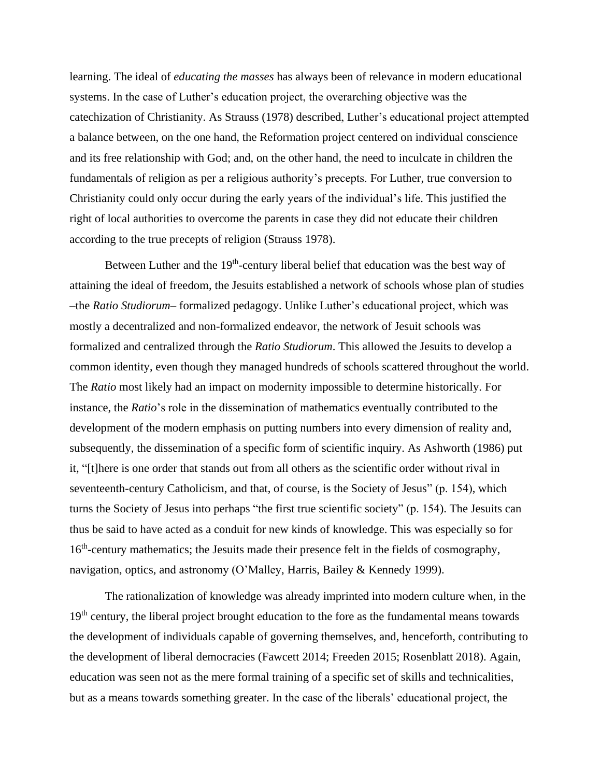learning. The ideal of *educating the masses* has always been of relevance in modern educational systems. In the case of Luther's education project, the overarching objective was the catechization of Christianity. As Strauss (1978) described, Luther's educational project attempted a balance between, on the one hand, the Reformation project centered on individual conscience and its free relationship with God; and, on the other hand, the need to inculcate in children the fundamentals of religion as per a religious authority's precepts. For Luther, true conversion to Christianity could only occur during the early years of the individual's life. This justified the right of local authorities to overcome the parents in case they did not educate their children according to the true precepts of religion (Strauss 1978).

Between Luther and the  $19<sup>th</sup>$ -century liberal belief that education was the best way of attaining the ideal of freedom, the Jesuits established a network of schools whose plan of studies –the *Ratio Studiorum*– formalized pedagogy. Unlike Luther's educational project, which was mostly a decentralized and non-formalized endeavor, the network of Jesuit schools was formalized and centralized through the *Ratio Studiorum*. This allowed the Jesuits to develop a common identity, even though they managed hundreds of schools scattered throughout the world. The *Ratio* most likely had an impact on modernity impossible to determine historically. For instance, the *Ratio*'s role in the dissemination of mathematics eventually contributed to the development of the modern emphasis on putting numbers into every dimension of reality and, subsequently, the dissemination of a specific form of scientific inquiry. As Ashworth (1986) put it, "[t]here is one order that stands out from all others as the scientific order without rival in seventeenth-century Catholicism, and that, of course, is the Society of Jesus" (p. 154), which turns the Society of Jesus into perhaps "the first true scientific society" (p. 154). The Jesuits can thus be said to have acted as a conduit for new kinds of knowledge. This was especially so for 16<sup>th</sup>-century mathematics; the Jesuits made their presence felt in the fields of cosmography, navigation, optics, and astronomy (O'Malley, Harris, Bailey & Kennedy 1999).

The rationalization of knowledge was already imprinted into modern culture when, in the 19<sup>th</sup> century, the liberal project brought education to the fore as the fundamental means towards the development of individuals capable of governing themselves, and, henceforth, contributing to the development of liberal democracies (Fawcett 2014; Freeden 2015; Rosenblatt 2018). Again, education was seen not as the mere formal training of a specific set of skills and technicalities, but as a means towards something greater. In the case of the liberals' educational project, the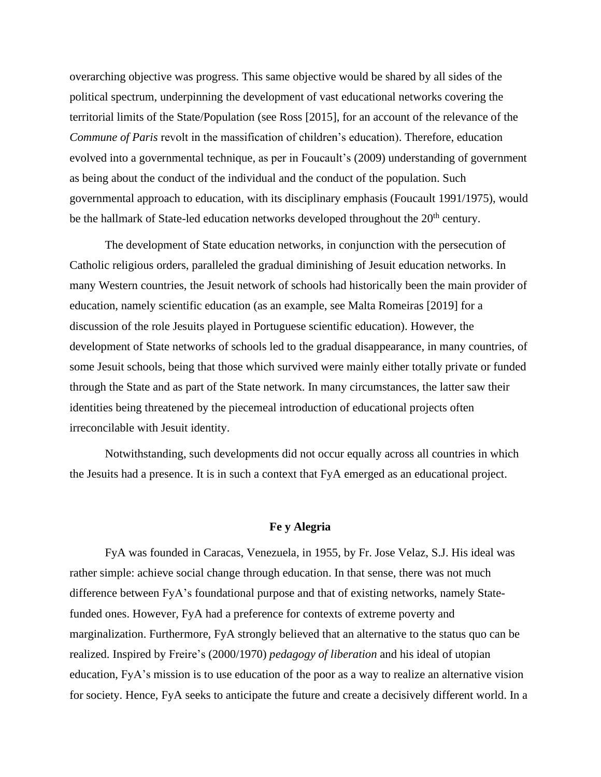overarching objective was progress. This same objective would be shared by all sides of the political spectrum, underpinning the development of vast educational networks covering the territorial limits of the State/Population (see Ross [2015], for an account of the relevance of the *Commune of Paris* revolt in the massification of children's education). Therefore, education evolved into a governmental technique, as per in Foucault's (2009) understanding of government as being about the conduct of the individual and the conduct of the population. Such governmental approach to education, with its disciplinary emphasis (Foucault 1991/1975), would be the hallmark of State-led education networks developed throughout the  $20<sup>th</sup>$  century.

The development of State education networks, in conjunction with the persecution of Catholic religious orders, paralleled the gradual diminishing of Jesuit education networks. In many Western countries, the Jesuit network of schools had historically been the main provider of education, namely scientific education (as an example, see Malta Romeiras [2019] for a discussion of the role Jesuits played in Portuguese scientific education). However, the development of State networks of schools led to the gradual disappearance, in many countries, of some Jesuit schools, being that those which survived were mainly either totally private or funded through the State and as part of the State network. In many circumstances, the latter saw their identities being threatened by the piecemeal introduction of educational projects often irreconcilable with Jesuit identity.

Notwithstanding, such developments did not occur equally across all countries in which the Jesuits had a presence. It is in such a context that FyA emerged as an educational project.

## **Fe y Alegria**

FyA was founded in Caracas, Venezuela, in 1955, by Fr. Jose Velaz, S.J. His ideal was rather simple: achieve social change through education. In that sense, there was not much difference between FyA's foundational purpose and that of existing networks, namely Statefunded ones. However, FyA had a preference for contexts of extreme poverty and marginalization. Furthermore, FyA strongly believed that an alternative to the status quo can be realized. Inspired by Freire's (2000/1970) *pedagogy of liberation* and his ideal of utopian education, FyA's mission is to use education of the poor as a way to realize an alternative vision for society. Hence, FyA seeks to anticipate the future and create a decisively different world. In a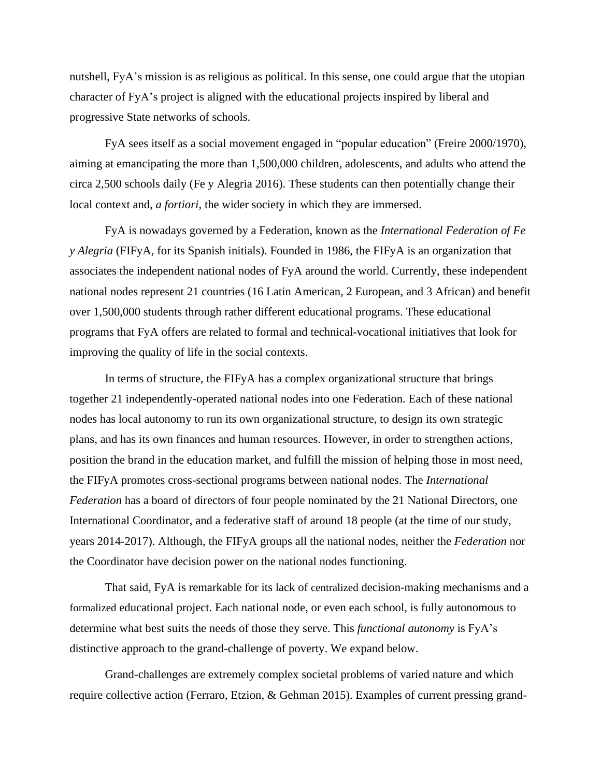nutshell, FyA's mission is as religious as political. In this sense, one could argue that the utopian character of FyA's project is aligned with the educational projects inspired by liberal and progressive State networks of schools.

FyA sees itself as a social movement engaged in "popular education" (Freire 2000/1970), aiming at emancipating the more than 1,500,000 children, adolescents, and adults who attend the circa 2,500 schools daily (Fe y Alegria 2016). These students can then potentially change their local context and, *a fortiori*, the wider society in which they are immersed.

FyA is nowadays governed by a Federation, known as the *International Federation of Fe y Alegria* (FIFyA, for its Spanish initials). Founded in 1986, the FIFyA is an organization that associates the independent national nodes of FyA around the world. Currently, these independent national nodes represent 21 countries (16 Latin American, 2 European, and 3 African) and benefit over 1,500,000 students through rather different educational programs. These educational programs that FyA offers are related to formal and technical-vocational initiatives that look for improving the quality of life in the social contexts.

In terms of structure, the FIFyA has a complex organizational structure that brings together 21 independently-operated national nodes into one Federation. Each of these national nodes has local autonomy to run its own organizational structure, to design its own strategic plans, and has its own finances and human resources. However, in order to strengthen actions, position the brand in the education market, and fulfill the mission of helping those in most need, the FIFyA promotes cross-sectional programs between national nodes. The *International Federation* has a board of directors of four people nominated by the 21 National Directors, one International Coordinator, and a federative staff of around 18 people (at the time of our study, years 2014-2017). Although, the FIFyA groups all the national nodes, neither the *Federation* nor the Coordinator have decision power on the national nodes functioning.

That said, FyA is remarkable for its lack of centralized decision-making mechanisms and a formalized educational project. Each national node, or even each school, is fully autonomous to determine what best suits the needs of those they serve. This *functional autonomy* is FyA's distinctive approach to the grand-challenge of poverty. We expand below.

Grand-challenges are extremely complex societal problems of varied nature and which require collective action (Ferraro, Etzion, & Gehman 2015). Examples of current pressing grand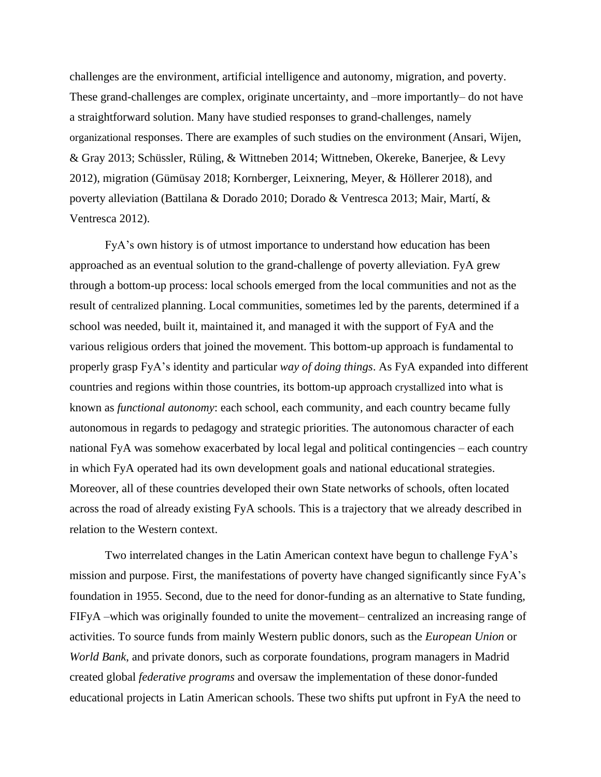challenges are the environment, artificial intelligence and autonomy, migration, and poverty. These grand-challenges are complex, originate uncertainty, and –more importantly– do not have a straightforward solution. Many have studied responses to grand-challenges, namely organizational responses. There are examples of such studies on the environment (Ansari, Wijen, & Gray 2013; Schüssler, Rüling, & Wittneben 2014; Wittneben, Okereke, Banerjee, & Levy 2012), migration (Gümüsay 2018; Kornberger, Leixnering, Meyer, & Höllerer 2018), and poverty alleviation (Battilana & Dorado 2010; Dorado & Ventresca 2013; Mair, Martí, & Ventresca 2012).

FyA's own history is of utmost importance to understand how education has been approached as an eventual solution to the grand-challenge of poverty alleviation. FyA grew through a bottom-up process: local schools emerged from the local communities and not as the result of centralized planning. Local communities, sometimes led by the parents, determined if a school was needed, built it, maintained it, and managed it with the support of FyA and the various religious orders that joined the movement. This bottom-up approach is fundamental to properly grasp FyA's identity and particular *way of doing things*. As FyA expanded into different countries and regions within those countries, its bottom-up approach crystallized into what is known as *functional autonomy*: each school, each community, and each country became fully autonomous in regards to pedagogy and strategic priorities. The autonomous character of each national FyA was somehow exacerbated by local legal and political contingencies – each country in which FyA operated had its own development goals and national educational strategies. Moreover, all of these countries developed their own State networks of schools, often located across the road of already existing FyA schools. This is a trajectory that we already described in relation to the Western context.

Two interrelated changes in the Latin American context have begun to challenge FyA's mission and purpose. First, the manifestations of poverty have changed significantly since FyA's foundation in 1955. Second, due to the need for donor-funding as an alternative to State funding, FIFyA –which was originally founded to unite the movement– centralized an increasing range of activities. To source funds from mainly Western public donors, such as the *European Union* or *World Bank*, and private donors, such as corporate foundations, program managers in Madrid created global *federative programs* and oversaw the implementation of these donor-funded educational projects in Latin American schools. These two shifts put upfront in FyA the need to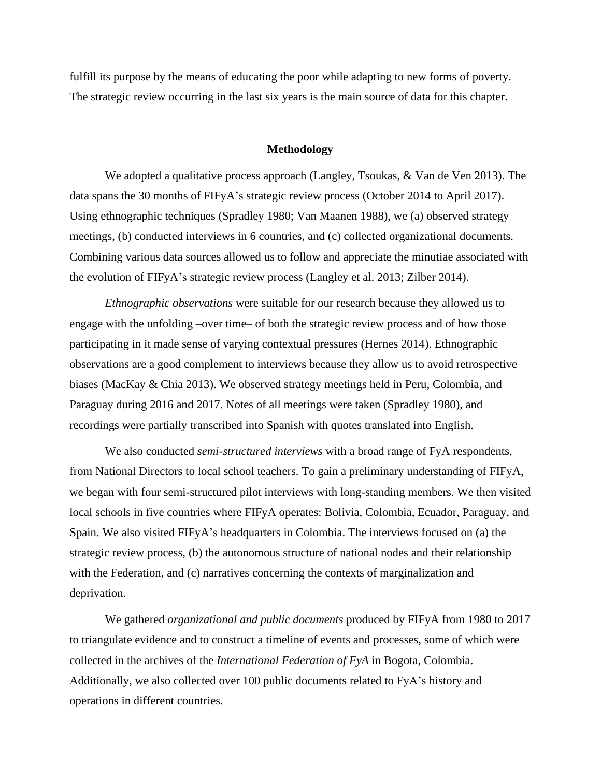fulfill its purpose by the means of educating the poor while adapting to new forms of poverty. The strategic review occurring in the last six years is the main source of data for this chapter.

## **Methodology**

We adopted a qualitative process approach (Langley, Tsoukas, & Van de Ven 2013). The data spans the 30 months of FIFyA's strategic review process (October 2014 to April 2017). Using ethnographic techniques (Spradley 1980; Van Maanen 1988), we (a) observed strategy meetings, (b) conducted interviews in 6 countries, and (c) collected organizational documents. Combining various data sources allowed us to follow and appreciate the minutiae associated with the evolution of FIFyA's strategic review process (Langley et al. 2013; Zilber 2014).

*Ethnographic observations* were suitable for our research because they allowed us to engage with the unfolding –over time– of both the strategic review process and of how those participating in it made sense of varying contextual pressures (Hernes 2014). Ethnographic observations are a good complement to interviews because they allow us to avoid retrospective biases (MacKay & Chia 2013). We observed strategy meetings held in Peru, Colombia, and Paraguay during 2016 and 2017. Notes of all meetings were taken (Spradley 1980), and recordings were partially transcribed into Spanish with quotes translated into English.

We also conducted *semi-structured interviews* with a broad range of FyA respondents, from National Directors to local school teachers. To gain a preliminary understanding of FIFyA, we began with four semi-structured pilot interviews with long-standing members. We then visited local schools in five countries where FIFyA operates: Bolivia, Colombia, Ecuador, Paraguay, and Spain. We also visited FIFyA's headquarters in Colombia. The interviews focused on (a) the strategic review process, (b) the autonomous structure of national nodes and their relationship with the Federation, and (c) narratives concerning the contexts of marginalization and deprivation.

We gathered *organizational and public documents* produced by FIFyA from 1980 to 2017 to triangulate evidence and to construct a timeline of events and processes, some of which were collected in the archives of the *International Federation of FyA* in Bogota, Colombia. Additionally, we also collected over 100 public documents related to FyA's history and operations in different countries.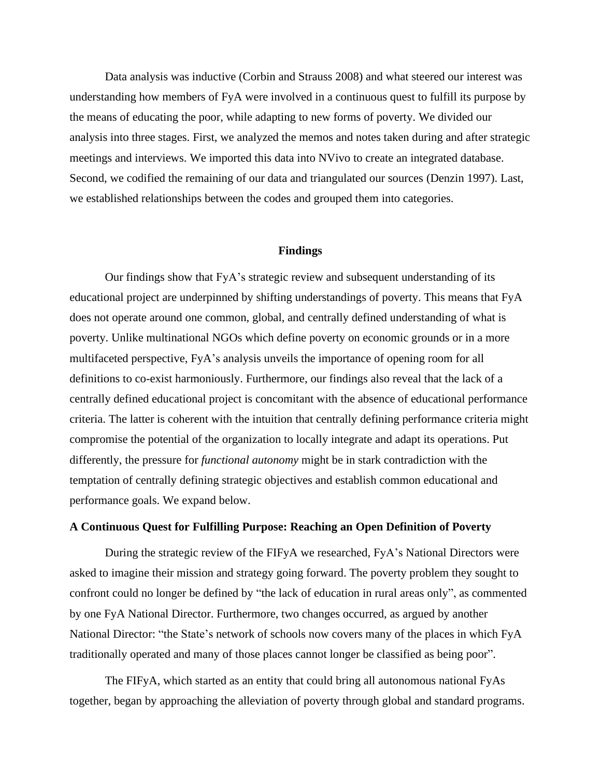Data analysis was inductive (Corbin and Strauss 2008) and what steered our interest was understanding how members of FyA were involved in a continuous quest to fulfill its purpose by the means of educating the poor, while adapting to new forms of poverty. We divided our analysis into three stages. First, we analyzed the memos and notes taken during and after strategic meetings and interviews. We imported this data into NVivo to create an integrated database. Second, we codified the remaining of our data and triangulated our sources (Denzin 1997). Last, we established relationships between the codes and grouped them into categories.

#### **Findings**

Our findings show that FyA's strategic review and subsequent understanding of its educational project are underpinned by shifting understandings of poverty. This means that FyA does not operate around one common, global, and centrally defined understanding of what is poverty. Unlike multinational NGOs which define poverty on economic grounds or in a more multifaceted perspective, FyA's analysis unveils the importance of opening room for all definitions to co-exist harmoniously. Furthermore, our findings also reveal that the lack of a centrally defined educational project is concomitant with the absence of educational performance criteria. The latter is coherent with the intuition that centrally defining performance criteria might compromise the potential of the organization to locally integrate and adapt its operations. Put differently, the pressure for *functional autonomy* might be in stark contradiction with the temptation of centrally defining strategic objectives and establish common educational and performance goals. We expand below.

# **A Continuous Quest for Fulfilling Purpose: Reaching an Open Definition of Poverty**

During the strategic review of the FIFyA we researched, FyA's National Directors were asked to imagine their mission and strategy going forward. The poverty problem they sought to confront could no longer be defined by "the lack of education in rural areas only", as commented by one FyA National Director. Furthermore, two changes occurred, as argued by another National Director: "the State's network of schools now covers many of the places in which FyA traditionally operated and many of those places cannot longer be classified as being poor".

The FIFyA, which started as an entity that could bring all autonomous national FyAs together, began by approaching the alleviation of poverty through global and standard programs.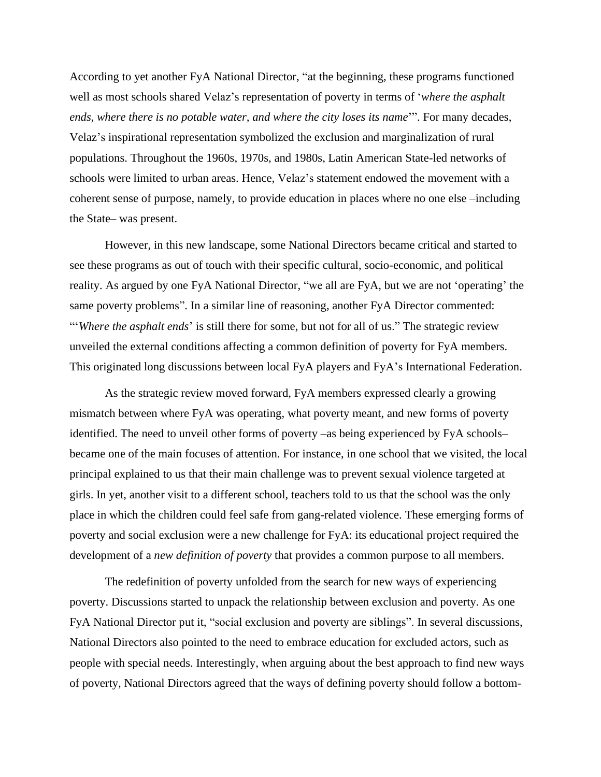According to yet another FyA National Director, "at the beginning, these programs functioned well as most schools shared Velaz's representation of poverty in terms of '*where the asphalt ends, where there is no potable water, and where the city loses its name*'". For many decades, Velaz's inspirational representation symbolized the exclusion and marginalization of rural populations. Throughout the 1960s, 1970s, and 1980s, Latin American State-led networks of schools were limited to urban areas. Hence, Velaz's statement endowed the movement with a coherent sense of purpose, namely, to provide education in places where no one else –including the State– was present.

However, in this new landscape, some National Directors became critical and started to see these programs as out of touch with their specific cultural, socio-economic, and political reality. As argued by one FyA National Director, "we all are FyA, but we are not 'operating' the same poverty problems". In a similar line of reasoning, another FyA Director commented: "'*Where the asphalt ends*' is still there for some, but not for all of us." The strategic review unveiled the external conditions affecting a common definition of poverty for FyA members. This originated long discussions between local FyA players and FyA's International Federation.

As the strategic review moved forward, FyA members expressed clearly a growing mismatch between where FyA was operating, what poverty meant, and new forms of poverty identified. The need to unveil other forms of poverty –as being experienced by FyA schools– became one of the main focuses of attention. For instance, in one school that we visited, the local principal explained to us that their main challenge was to prevent sexual violence targeted at girls. In yet, another visit to a different school, teachers told to us that the school was the only place in which the children could feel safe from gang-related violence. These emerging forms of poverty and social exclusion were a new challenge for FyA: its educational project required the development of a *new definition of poverty* that provides a common purpose to all members.

The redefinition of poverty unfolded from the search for new ways of experiencing poverty. Discussions started to unpack the relationship between exclusion and poverty. As one FyA National Director put it, "social exclusion and poverty are siblings". In several discussions, National Directors also pointed to the need to embrace education for excluded actors, such as people with special needs. Interestingly, when arguing about the best approach to find new ways of poverty, National Directors agreed that the ways of defining poverty should follow a bottom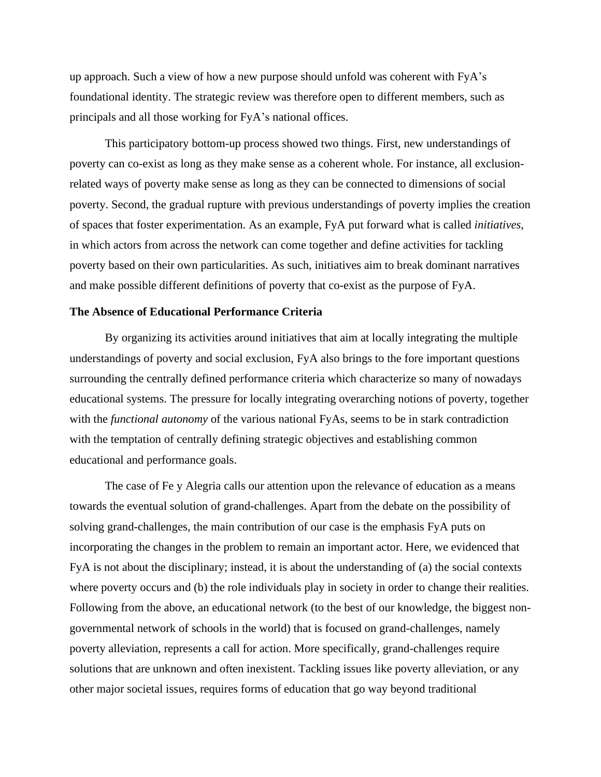up approach. Such a view of how a new purpose should unfold was coherent with FyA's foundational identity. The strategic review was therefore open to different members, such as principals and all those working for FyA's national offices.

This participatory bottom-up process showed two things. First, new understandings of poverty can co-exist as long as they make sense as a coherent whole. For instance, all exclusionrelated ways of poverty make sense as long as they can be connected to dimensions of social poverty. Second, the gradual rupture with previous understandings of poverty implies the creation of spaces that foster experimentation. As an example, FyA put forward what is called *initiatives*, in which actors from across the network can come together and define activities for tackling poverty based on their own particularities. As such, initiatives aim to break dominant narratives and make possible different definitions of poverty that co-exist as the purpose of FyA.

## **The Absence of Educational Performance Criteria**

By organizing its activities around initiatives that aim at locally integrating the multiple understandings of poverty and social exclusion, FyA also brings to the fore important questions surrounding the centrally defined performance criteria which characterize so many of nowadays educational systems. The pressure for locally integrating overarching notions of poverty, together with the *functional autonomy* of the various national FyAs, seems to be in stark contradiction with the temptation of centrally defining strategic objectives and establishing common educational and performance goals.

The case of Fe y Alegria calls our attention upon the relevance of education as a means towards the eventual solution of grand-challenges. Apart from the debate on the possibility of solving grand-challenges, the main contribution of our case is the emphasis FyA puts on incorporating the changes in the problem to remain an important actor. Here, we evidenced that FyA is not about the disciplinary; instead, it is about the understanding of (a) the social contexts where poverty occurs and (b) the role individuals play in society in order to change their realities. Following from the above, an educational network (to the best of our knowledge, the biggest nongovernmental network of schools in the world) that is focused on grand-challenges, namely poverty alleviation, represents a call for action. More specifically, grand-challenges require solutions that are unknown and often inexistent. Tackling issues like poverty alleviation, or any other major societal issues, requires forms of education that go way beyond traditional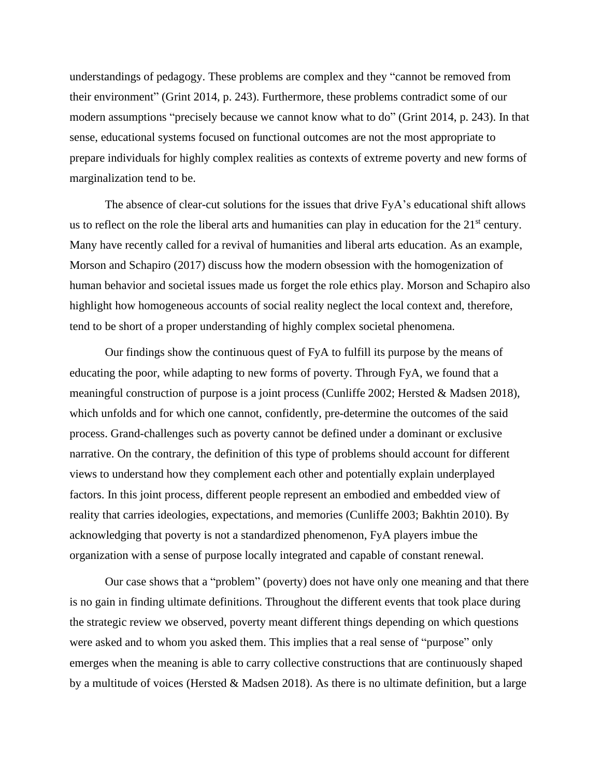understandings of pedagogy. These problems are complex and they "cannot be removed from their environment" (Grint 2014, p. 243). Furthermore, these problems contradict some of our modern assumptions "precisely because we cannot know what to do" (Grint 2014, p. 243). In that sense, educational systems focused on functional outcomes are not the most appropriate to prepare individuals for highly complex realities as contexts of extreme poverty and new forms of marginalization tend to be.

The absence of clear-cut solutions for the issues that drive FyA's educational shift allows us to reflect on the role the liberal arts and humanities can play in education for the  $21<sup>st</sup>$  century. Many have recently called for a revival of humanities and liberal arts education. As an example, Morson and Schapiro (2017) discuss how the modern obsession with the homogenization of human behavior and societal issues made us forget the role ethics play. Morson and Schapiro also highlight how homogeneous accounts of social reality neglect the local context and, therefore, tend to be short of a proper understanding of highly complex societal phenomena.

Our findings show the continuous quest of FyA to fulfill its purpose by the means of educating the poor, while adapting to new forms of poverty. Through FyA, we found that a meaningful construction of purpose is a joint process (Cunliffe 2002; Hersted & Madsen 2018), which unfolds and for which one cannot, confidently, pre-determine the outcomes of the said process. Grand-challenges such as poverty cannot be defined under a dominant or exclusive narrative. On the contrary, the definition of this type of problems should account for different views to understand how they complement each other and potentially explain underplayed factors. In this joint process, different people represent an embodied and embedded view of reality that carries ideologies, expectations, and memories (Cunliffe 2003; Bakhtin 2010). By acknowledging that poverty is not a standardized phenomenon, FyA players imbue the organization with a sense of purpose locally integrated and capable of constant renewal.

Our case shows that a "problem" (poverty) does not have only one meaning and that there is no gain in finding ultimate definitions. Throughout the different events that took place during the strategic review we observed, poverty meant different things depending on which questions were asked and to whom you asked them. This implies that a real sense of "purpose" only emerges when the meaning is able to carry collective constructions that are continuously shaped by a multitude of voices (Hersted & Madsen 2018). As there is no ultimate definition, but a large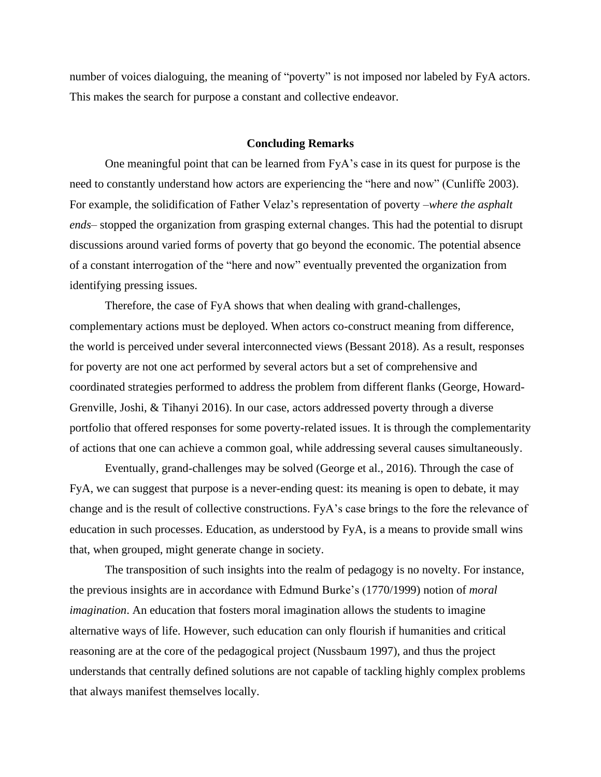number of voices dialoguing, the meaning of "poverty" is not imposed nor labeled by FyA actors. This makes the search for purpose a constant and collective endeavor.

### **Concluding Remarks**

One meaningful point that can be learned from FyA's case in its quest for purpose is the need to constantly understand how actors are experiencing the "here and now" (Cunliffe 2003). For example, the solidification of Father Velaz's representation of poverty –*where the asphalt ends*– stopped the organization from grasping external changes. This had the potential to disrupt discussions around varied forms of poverty that go beyond the economic. The potential absence of a constant interrogation of the "here and now" eventually prevented the organization from identifying pressing issues.

Therefore, the case of FyA shows that when dealing with grand-challenges, complementary actions must be deployed. When actors co-construct meaning from difference, the world is perceived under several interconnected views (Bessant 2018). As a result, responses for poverty are not one act performed by several actors but a set of comprehensive and coordinated strategies performed to address the problem from different flanks (George, Howard-Grenville, Joshi, & Tihanyi 2016). In our case, actors addressed poverty through a diverse portfolio that offered responses for some poverty-related issues. It is through the complementarity of actions that one can achieve a common goal, while addressing several causes simultaneously.

Eventually, grand-challenges may be solved (George et al., 2016). Through the case of FyA, we can suggest that purpose is a never-ending quest: its meaning is open to debate, it may change and is the result of collective constructions. FyA's case brings to the fore the relevance of education in such processes. Education, as understood by FyA, is a means to provide small wins that, when grouped, might generate change in society.

The transposition of such insights into the realm of pedagogy is no novelty. For instance, the previous insights are in accordance with Edmund Burke's (1770/1999) notion of *moral imagination*. An education that fosters moral imagination allows the students to imagine alternative ways of life. However, such education can only flourish if humanities and critical reasoning are at the core of the pedagogical project (Nussbaum 1997), and thus the project understands that centrally defined solutions are not capable of tackling highly complex problems that always manifest themselves locally.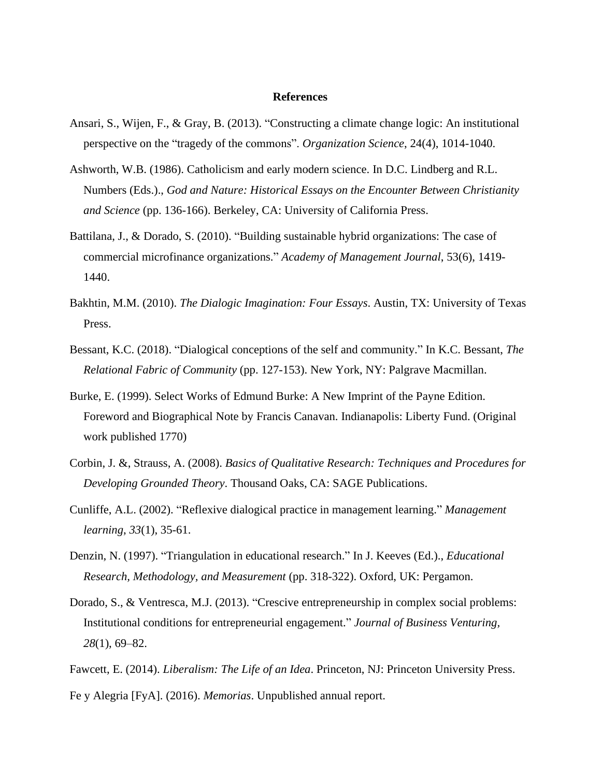### **References**

- Ansari, S., Wijen, F., & Gray, B. (2013). "Constructing a climate change logic: An institutional perspective on the "tragedy of the commons". *Organization Science*, 24(4), 1014-1040.
- Ashworth, W.B. (1986). Catholicism and early modern science. In D.C. Lindberg and R.L. Numbers (Eds.)., *God and Nature: Historical Essays on the Encounter Between Christianity and Science* (pp. 136-166). Berkeley, CA: University of California Press.
- Battilana, J., & Dorado, S. (2010). "Building sustainable hybrid organizations: The case of commercial microfinance organizations." *Academy of Management Journal*, 53(6), 1419- 1440.
- Bakhtin, M.M. (2010). *The Dialogic Imagination: Four Essays*. Austin, TX: University of Texas Press.
- Bessant, K.C. (2018). "Dialogical conceptions of the self and community." In K.C. Bessant, *The Relational Fabric of Community* (pp. 127-153). New York, NY: Palgrave Macmillan.
- Burke, E. (1999). Select Works of Edmund Burke: A New Imprint of the Payne Edition. Foreword and Biographical Note by Francis Canavan. Indianapolis: Liberty Fund. (Original work published 1770)
- Corbin, J. &, Strauss, A. (2008). *Basics of Qualitative Research: Techniques and Procedures for Developing Grounded Theory*. Thousand Oaks, CA: SAGE Publications.
- Cunliffe, A.L. (2002). "Reflexive dialogical practice in management learning." *Management learning*, *33*(1), 35-61.
- Denzin, N. (1997). "Triangulation in educational research." In J. Keeves (Ed.)., *Educational Research, Methodology, and Measurement* (pp. 318-322). Oxford, UK: Pergamon.
- Dorado, S., & Ventresca, M.J. (2013). "Crescive entrepreneurship in complex social problems: Institutional conditions for entrepreneurial engagement." *Journal of Business Venturing, 28*(1), 69–82.

Fawcett, E. (2014). *Liberalism: The Life of an Idea*. Princeton, NJ: Princeton University Press. Fe y Alegria [FyA]. (2016). *Memorias*. Unpublished annual report.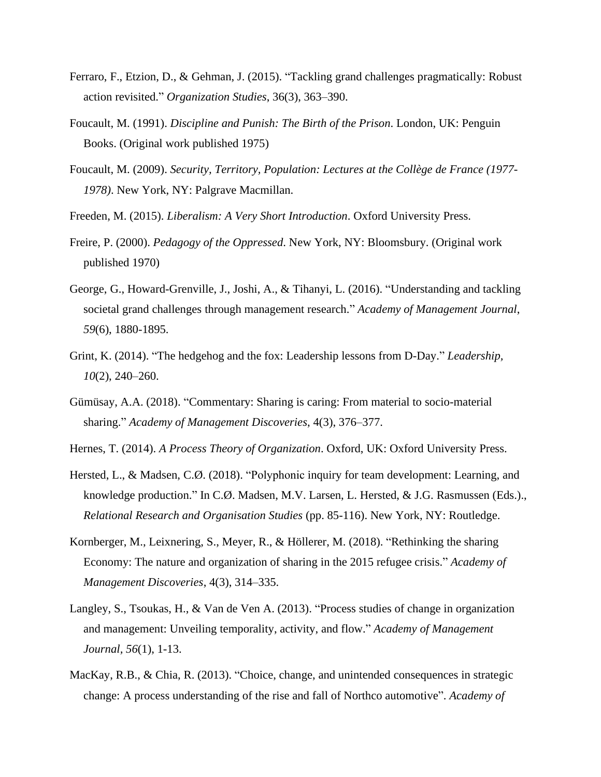- Ferraro, F., Etzion, D., & Gehman, J. (2015). "Tackling grand challenges pragmatically: Robust action revisited." *Organization Studies*, 36(3), 363–390.
- Foucault, M. (1991). *Discipline and Punish: The Birth of the Prison*. London, UK: Penguin Books. (Original work published 1975)
- Foucault, M. (2009). *Security, Territory, Population: Lectures at the Collège de France (1977- 1978)*. New York, NY: Palgrave Macmillan.
- Freeden, M. (2015). *Liberalism: A Very Short Introduction*. Oxford University Press.
- Freire, P. (2000). *Pedagogy of the Oppressed*. New York, NY: Bloomsbury. (Original work published 1970)
- George, G., Howard-Grenville, J., Joshi, A., & Tihanyi, L. (2016). "Understanding and tackling societal grand challenges through management research." *Academy of Management Journal*, *59*(6), 1880-1895.
- Grint, K. (2014). "The hedgehog and the fox: Leadership lessons from D-Day." *Leadership, 10*(2), 240–260.
- Gümüsay, A.A. (2018). "Commentary: Sharing is caring: From material to socio-material sharing." *Academy of Management Discoveries*, 4(3), 376–377.
- Hernes, T. (2014). *A Process Theory of Organization*. Oxford, UK: Oxford University Press.
- Hersted, L., & Madsen, C.Ø. (2018). "Polyphonic inquiry for team development: Learning, and knowledge production." In C.Ø. Madsen, M.V. Larsen, L. Hersted, & J.G. Rasmussen (Eds.)., *Relational Research and Organisation Studies* (pp. 85-116). New York, NY: Routledge.
- Kornberger, M., Leixnering, S., Meyer, R., & Höllerer, M. (2018). "Rethinking the sharing Economy: The nature and organization of sharing in the 2015 refugee crisis." *Academy of Management Discoveries*, 4(3), 314–335.
- Langley, S., Tsoukas, H., & Van de Ven A. (2013). "Process studies of change in organization and management: Unveiling temporality, activity, and flow." *Academy of Management Journal, 56*(1), 1-13.
- MacKay, R.B., & Chia, R. (2013). "Choice, change, and unintended consequences in strategic change: A process understanding of the rise and fall of Northco automotive". *Academy of*